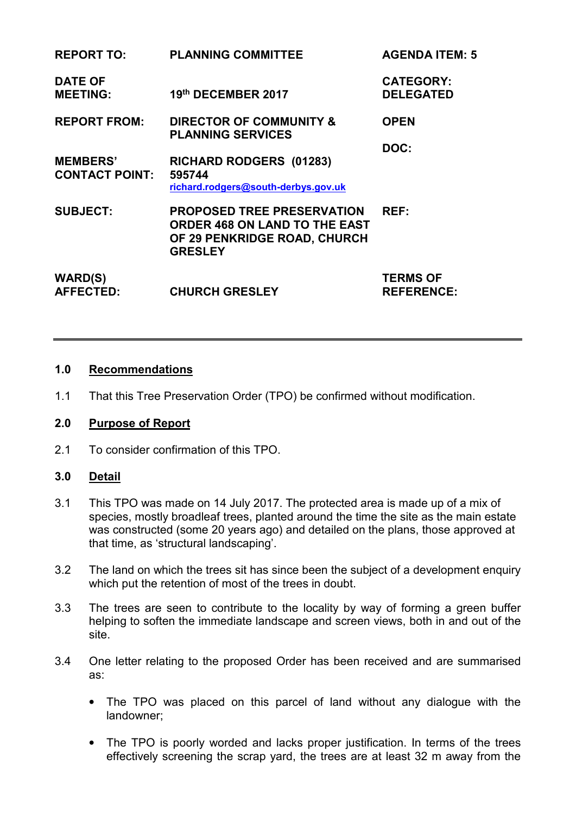| <b>REPORT TO:</b>                        | <b>PLANNING COMMITTEE</b>                                                                                                   | <b>AGENDA ITEM: 5</b>                |
|------------------------------------------|-----------------------------------------------------------------------------------------------------------------------------|--------------------------------------|
| <b>DATE OF</b><br><b>MEETING:</b>        | 19th DECEMBER 2017                                                                                                          | <b>CATEGORY:</b><br><b>DELEGATED</b> |
| <b>REPORT FROM:</b>                      | <b>DIRECTOR OF COMMUNITY &amp;</b><br><b>PLANNING SERVICES</b>                                                              | <b>OPEN</b>                          |
| <b>MEMBERS'</b><br><b>CONTACT POINT:</b> | RICHARD RODGERS (01283)<br>595744<br>richard.rodgers@south-derbys.gov.uk                                                    | DOC:                                 |
| <b>SUBJECT:</b>                          | <b>PROPOSED TREE PRESERVATION</b><br><b>ORDER 468 ON LAND TO THE EAST</b><br>OF 29 PENKRIDGE ROAD, CHURCH<br><b>GRESLEY</b> | REF:                                 |
| <b>WARD(S)</b><br><b>AFFECTED:</b>       | <b>CHURCH GRESLEY</b>                                                                                                       | <b>TERMS OF</b><br><b>REFERENCE:</b> |

#### **1.0 Recommendations**

1.1 That this Tree Preservation Order (TPO) be confirmed without modification.

# **2.0 Purpose of Report**

2.1 To consider confirmation of this TPO.

#### **3.0 Detail**

- 3.1 This TPO was made on 14 July 2017. The protected area is made up of a mix of species, mostly broadleaf trees, planted around the time the site as the main estate was constructed (some 20 years ago) and detailed on the plans, those approved at that time, as 'structural landscaping'.
- 3.2 The land on which the trees sit has since been the subject of a development enquiry which put the retention of most of the trees in doubt.
- 3.3 The trees are seen to contribute to the locality by way of forming a green buffer helping to soften the immediate landscape and screen views, both in and out of the site.
- 3.4 One letter relating to the proposed Order has been received and are summarised as:
	- The TPO was placed on this parcel of land without any dialogue with the landowner;
	- The TPO is poorly worded and lacks proper justification. In terms of the trees effectively screening the scrap yard, the trees are at least 32 m away from the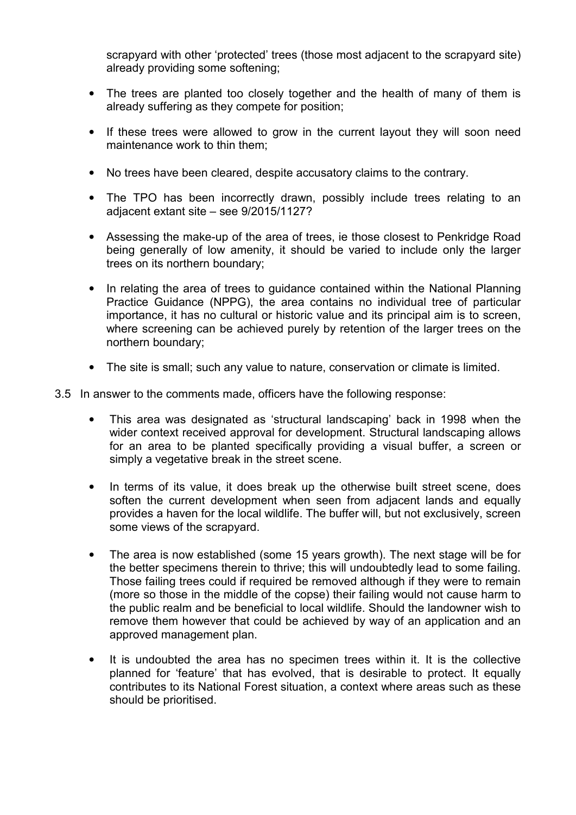scrapyard with other 'protected' trees (those most adjacent to the scrapyard site) already providing some softening;

- The trees are planted too closely together and the health of many of them is already suffering as they compete for position;
- If these trees were allowed to grow in the current layout they will soon need maintenance work to thin them;
- No trees have been cleared, despite accusatory claims to the contrary.
- The TPO has been incorrectly drawn, possibly include trees relating to an adjacent extant site – see 9/2015/1127?
- Assessing the make-up of the area of trees, ie those closest to Penkridge Road being generally of low amenity, it should be varied to include only the larger trees on its northern boundary;
- In relating the area of trees to guidance contained within the National Planning Practice Guidance (NPPG), the area contains no individual tree of particular importance, it has no cultural or historic value and its principal aim is to screen, where screening can be achieved purely by retention of the larger trees on the northern boundary;
- The site is small; such any value to nature, conservation or climate is limited.
- 3.5 In answer to the comments made, officers have the following response:
	- This area was designated as 'structural landscaping' back in 1998 when the wider context received approval for development. Structural landscaping allows for an area to be planted specifically providing a visual buffer, a screen or simply a vegetative break in the street scene.
	- In terms of its value, it does break up the otherwise built street scene, does soften the current development when seen from adjacent lands and equally provides a haven for the local wildlife. The buffer will, but not exclusively, screen some views of the scrapyard.
	- The area is now established (some 15 years growth). The next stage will be for the better specimens therein to thrive; this will undoubtedly lead to some failing. Those failing trees could if required be removed although if they were to remain (more so those in the middle of the copse) their failing would not cause harm to the public realm and be beneficial to local wildlife. Should the landowner wish to remove them however that could be achieved by way of an application and an approved management plan.
	- It is undoubted the area has no specimen trees within it. It is the collective planned for 'feature' that has evolved, that is desirable to protect. It equally contributes to its National Forest situation, a context where areas such as these should be prioritised.